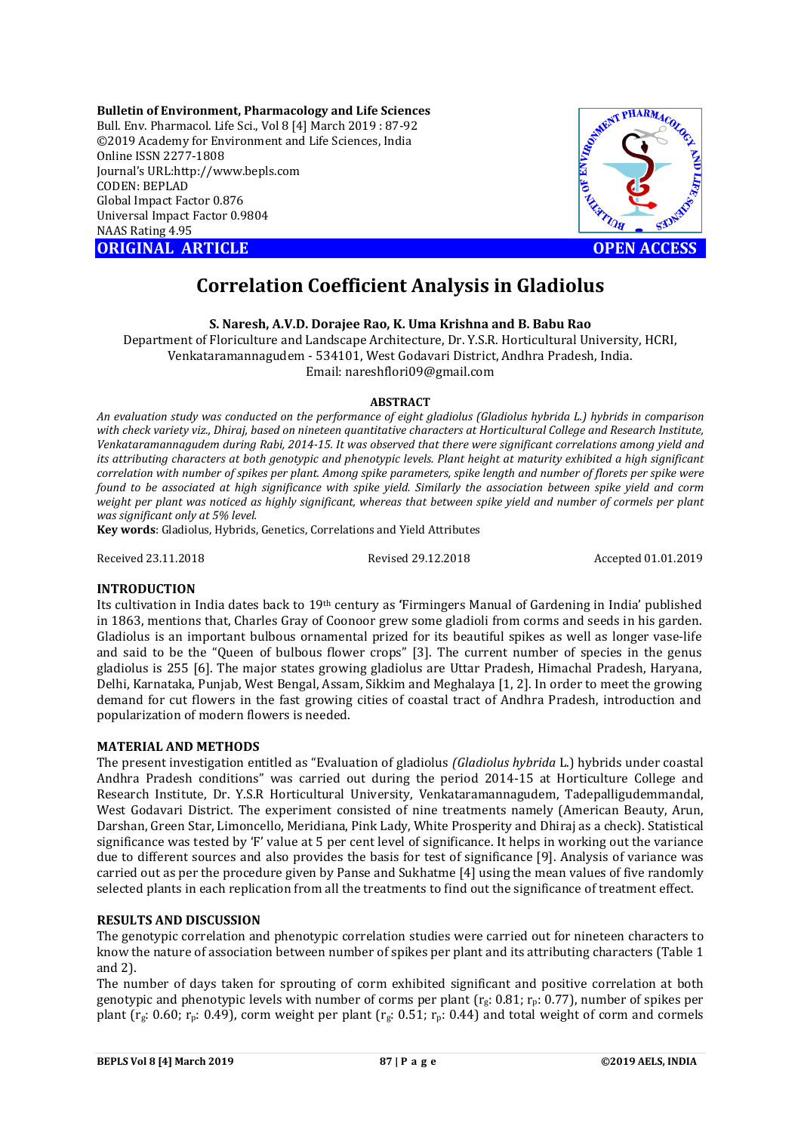**Bulletin of Environment, Pharmacology and Life Sciences** Bull. Env. Pharmacol. Life Sci., Vol 8 [4] March 2019 : 87-92 ©2019 Academy for Environment and Life Sciences, India Online ISSN 2277-1808 Journal's URL:http://www.bepls.com CODEN: BEPLAD Global Impact Factor 0.876 Universal Impact Factor 0.9804 NAAS Rating 4.95



# **Correlation Coefficient Analysis in Gladiolus**

**S. Naresh, A.V.D. Dorajee Rao, K. Uma Krishna and B. Babu Rao** 

Department of Floriculture and Landscape Architecture, Dr. Y.S.R. Horticultural University, HCRI, Venkataramannagudem - 534101, West Godavari District, Andhra Pradesh, India. Email: nareshflori09@gmail.com

## **ABSTRACT**

*An evaluation study was conducted on the performance of eight gladiolus (Gladiolus hybrida L.) hybrids in comparison with check variety viz., Dhiraj, based on nineteen quantitative characters at Horticultural College and Research Institute, Venkataramannagudem during Rabi, 2014-15. It was observed that there were significant correlations among yield and its attributing characters at both genotypic and phenotypic levels. Plant height at maturity exhibited a high significant correlation with number of spikes per plant. Among spike parameters, spike length and number of florets per spike were found to be associated at high significance with spike yield. Similarly the association between spike yield and corm weight per plant was noticed as highly significant, whereas that between spike yield and number of cormels per plant was significant only at 5% level.*

**Key words**: Gladiolus, Hybrids, Genetics, Correlations and Yield Attributes

Received 23.11.2018 Revised 29.12.2018 Accepted 01.01.2019

## **INTRODUCTION**

Its cultivation in India dates back to 19th century as **'**Firmingers Manual of Gardening in India' published in 1863, mentions that, Charles Gray of Coonoor grew some gladioli from corms and seeds in his garden. Gladiolus is an important bulbous ornamental prized for its beautiful spikes as well as longer vase-life and said to be the "Queen of bulbous flower crops" [3]. The current number of species in the genus gladiolus is 255 [6]. The major states growing gladiolus are Uttar Pradesh, Himachal Pradesh, Haryana, Delhi, Karnataka, Punjab, West Bengal, Assam, Sikkim and Meghalaya [1, 2]. In order to meet the growing demand for cut flowers in the fast growing cities of coastal tract of Andhra Pradesh, introduction and popularization of modern flowers is needed.

## **MATERIAL AND METHODS**

The present investigation entitled as "Evaluation of gladiolus *(Gladiolus hybrida* L.) hybrids under coastal Andhra Pradesh conditions" was carried out during the period 2014-15 at Horticulture College and Research Institute, Dr. Y.S.R Horticultural University, Venkataramannagudem, Tadepalligudemmandal, West Godavari District. The experiment consisted of nine treatments namely (American Beauty, Arun, Darshan, Green Star, Limoncello, Meridiana, Pink Lady, White Prosperity and Dhiraj as a check). Statistical significance was tested by 'F' value at 5 per cent level of significance. It helps in working out the variance due to different sources and also provides the basis for test of significance [9]. Analysis of variance was carried out as per the procedure given by Panse and Sukhatme [4] using the mean values of five randomly selected plants in each replication from all the treatments to find out the significance of treatment effect.

## **RESULTS AND DISCUSSION**

The genotypic correlation and phenotypic correlation studies were carried out for nineteen characters to know the nature of association between number of spikes per plant and its attributing characters (Table 1 and 2).

The number of days taken for sprouting of corm exhibited significant and positive correlation at both genotypic and phenotypic levels with number of corms per plant ( $r_g$ : 0.81;  $r_p$ : 0.77), number of spikes per plant ( $r_g$ : 0.60;  $r_p$ : 0.49), corm weight per plant ( $r_g$ : 0.51;  $r_p$ : 0.44) and total weight of corm and cormels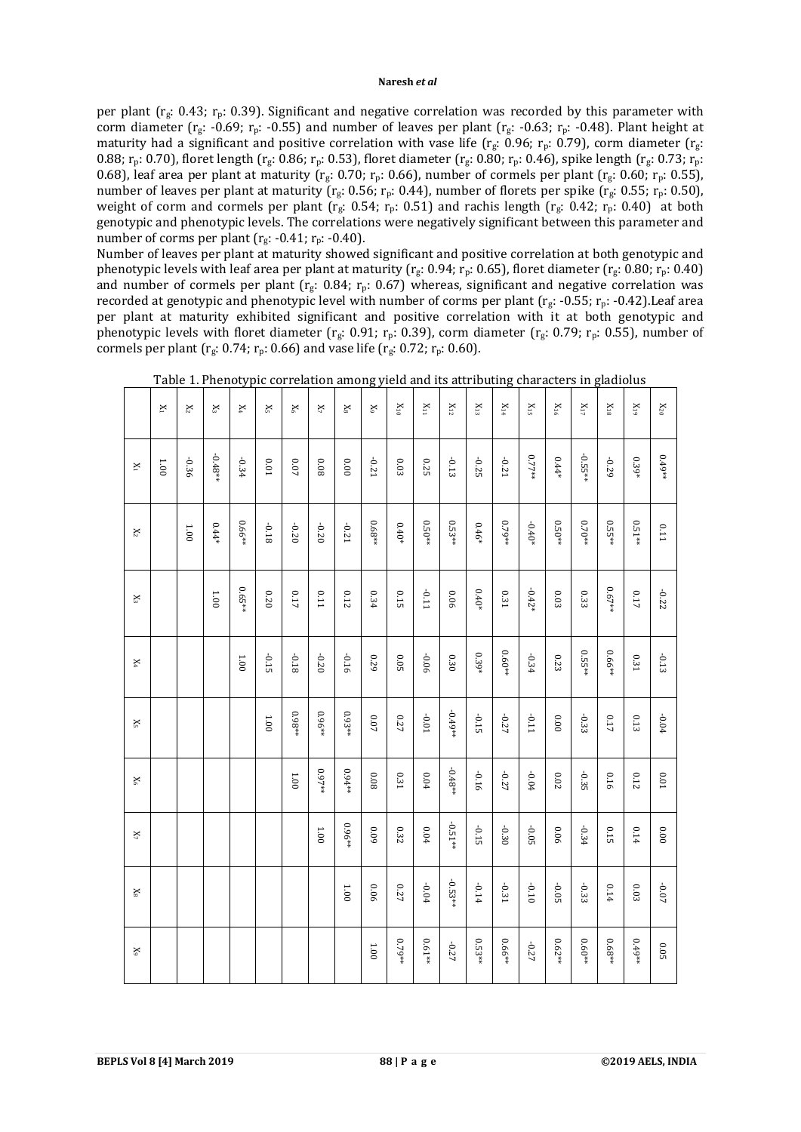per plant ( $r_g$ : 0.43;  $r_p$ : 0.39). Significant and negative correlation was recorded by this parameter with corm diameter ( $r_g$ : -0.69;  $r_p$ : -0.55) and number of leaves per plant ( $r_g$ : -0.63;  $r_p$ : -0.48). Plant height at maturity had a significant and positive correlation with vase life ( $r_g$ : 0.96;  $r_p$ : 0.79), corm diameter ( $r_g$ : 0.88;  $r_p$ : 0.70), floret length ( $r_g$ : 0.86;  $r_p$ : 0.53), floret diameter ( $r_g$ : 0.80;  $r_p$ : 0.46), spike length ( $r_g$ : 0.73;  $r_p$ : 0.68), leaf area per plant at maturity ( $r_g$ : 0.70;  $r_p$ : 0.66), number of cormels per plant ( $r_g$ : 0.60;  $r_p$ : 0.55), number of leaves per plant at maturity ( $r_g$ : 0.56;  $r_p$ : 0.44), number of florets per spike ( $r_g$ : 0.55;  $r_p$ : 0.50), weight of corm and cormels per plant ( $r_g$ : 0.54;  $r_p$ : 0.51) and rachis length ( $r_g$ : 0.42;  $r_p$ : 0.40) at both genotypic and phenotypic levels. The correlations were negatively significant between this parameter and number of corms per plant  $(r_g: -0.41; r_p: -0.40)$ .

Number of leaves per plant at maturity showed significant and positive correlation at both genotypic and phenotypic levels with leaf area per plant at maturity ( $r_g$ : 0.94;  $r_p$ : 0.65), floret diameter ( $r_g$ : 0.80;  $r_p$ : 0.40) and number of cormels per plant ( $r_g$ : 0.84;  $r_p$ : 0.67) whereas, significant and negative correlation was recorded at genotypic and phenotypic level with number of corms per plant ( $r_g$ : -0.55;  $r_p$ : -0.42). Leaf area per plant at maturity exhibited significant and positive correlation with it at both genotypic and phenotypic levels with floret diameter ( $r_g$ : 0.91;  $r_p$ : 0.39), corm diameter ( $r_g$ : 0.79;  $r_p$ : 0.55), number of cormels per plant ( $r_g$ : 0.74;  $r_p$ : 0.66) and vase life ( $r_g$ : 0.72;  $r_p$ : 0.60).

|                | $\mathbbmss{}$ | $\mathbf{x}_2$ | $\aleph$  | X,      | ×,      | $\mathbb{X}$ | $\mathbb{X}_7$ | $\mathbb{X}$ | $\mathbb{X}$ | $\rm X_{10}$ | $\rm _{N11}$ | $\mathbf{X}_{12}$ | $\rm X_{13}$ | $\rm X_{14}$ | $\rm X_{15}$ | $\rm X_{16}$ | $\mathbf{X}_{17}$ | $\rm X_{18}$ | $X_{19}$ | $\mathbf{X}_{20}$ |
|----------------|----------------|----------------|-----------|---------|---------|--------------|----------------|--------------|--------------|--------------|--------------|-------------------|--------------|--------------|--------------|--------------|-------------------|--------------|----------|-------------------|
| $\mathbf{X}_1$ | 1.00           | -0.36          | $-0.48**$ | $-0.34$ | 0.01    | 70.0         | 800            | 0.00         | -0.21        | 0.03         | 0.25         | $-0.13$           | -0.25        | -0.21        | $0.77**$     | $0.44*$      | $-0.55**$         | -0.29        | $0.39*$  | $0.49**$          |
| $\mathbf{X}_2$ |                | 1.00           | $0.44*$   | 0.66**  | 81.0-   | $-0.20$      | $-0.20$        | -0.21        | $0.68**$     | $0.40*$      | $0.50**$     | $0.53**$          | $0.46*$      | ** 97.79     | $-0.40*$     | $0.50**$     | $0.70**$          | $0.55**$     | $0.51**$ | 111               |
| $\mathbf{X}_3$ |                |                | 1.00      | ** 59.0 | 020     | 0.17         | <b>U.11</b>    | 0.12         | 0.34         | 0.15         | <b>LT0-</b>  | 90'0              | $0.40*$      | 0.31         | $-0.42*$     | $0.03\,$     | 0.33              | **79.0       | 0.17     | -0.22             |
| $\mathbf{X}_4$ |                |                |           | 1.00    | $-0.15$ | 81.0-        | $-0.20$        | -0.16        | 670          | 0.05         | $-0.06$      | $0.30\,$          | 0.39*        | $0.60**$     | $-0.34$      | 0.23         | $0.55**$          | ** 99'0      | 0.31     | $-0.13$           |
| $\mathbf{X}_5$ |                |                |           |         | 1.00    | $*86.0$      | $0.96**$       | $0.93**$     | $0.07\,$     | 0.27         | $10.01$      | $-0.49**$         | $-0.15$      | $-0.27$      | $-0.11$      | 0.00         | $-0.33$           | $0.17\,$     | 0.13     | $-0.04$           |
| $\rm X_6$      |                |                |           |         |         | $1.00\,$     | **79.9         | $0.94**$     | $0.08\,$     | 0.31         | 0.04         | $-0.48**$         | -0.16        | -0.27        | $-0.04$      | $0.02\,$     | $-0.35$           | 0.16         | 0.12     | $10.0\,$          |
| $\mathbf{X}_7$ |                |                |           |         |         |              | 1.00           | **96'0       | 60'0         | 0.32         | $0.04\,$     | $-0.51**$         | $-0.15$      | $-0.30$      | $-0.05$      | 90'0         | $-0.34$           | 0.15         | 0.14     | 0.000             |
| $\mathbb{X}_8$ |                |                |           |         |         |              |                | $1.00\,$     | 90'0         | 0.27         | $-0.04$      | $-0.53**$         | $-0.14$      | $-0.31$      | $-0.10$      | $-0.05$      | $-0.33$           | 0.14         | 0.03     | $-0.07$           |
| $\mathbb{X}_9$ |                |                |           |         |         |              |                |              | $1.00\,$     | ** 97.0      | *19.0        | -0.27             | $0.53**$     | 0.66**       | $-0.27$      | $0.62**$     | $0.60**$          | $0.68**$     | $0.49**$ | $0.05\,$          |

Table 1. Phenotypic correlation among yield and its attributing characters in gladiolus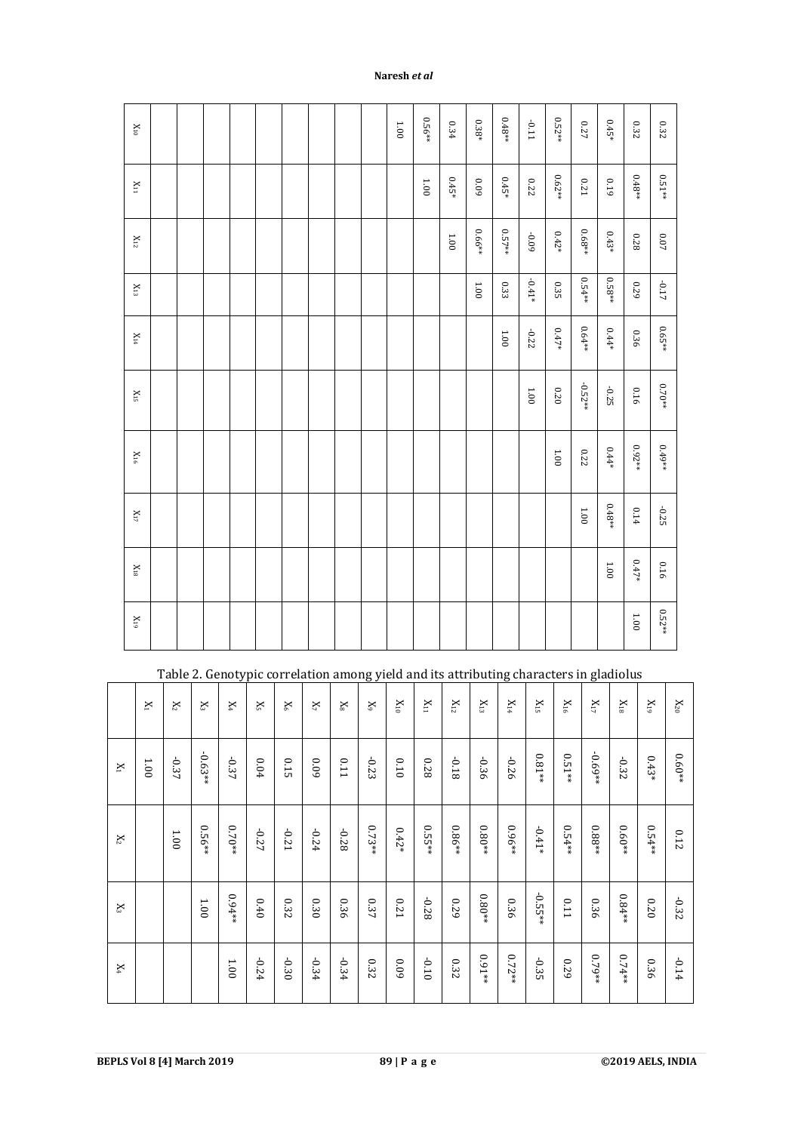| $\mathbf{X}_{10}$ |  |  |  |  | 1.001 | $0.56**$ | 0.34     | $0.38^*$   | $0.48^{\ast\ast}$ | $-0.11$  | $0.52**$ | $0.27\,$    | $0.45*$       | 0.32     | $0.32\,$ |
|-------------------|--|--|--|--|-------|----------|----------|------------|-------------------|----------|----------|-------------|---------------|----------|----------|
| $\mathbf{X}_{11}$ |  |  |  |  |       | $1.00\,$ | $0.45*$  | $60^\circ$ | $0.45*$           | $0.22\,$ | $0.62**$ | $0.21\,$    | 0.19          | $0.48**$ | $0.51**$ |
| $\mathbf{X}_{12}$ |  |  |  |  |       |          | $1.00\,$ | 0.66**     | $0.57**$          | $60.09$  | $0.42*$  | $0.68^{**}$ | $0.43*$       | 0.28     | $0.07\,$ |
| $\mathbf{X}_{13}$ |  |  |  |  |       |          |          | $1.00\,$   | $0.33\,$          | $-0.41*$ | 0.35     | $0.54**$    | $0.58**$      | 0.29     | $-0.17$  |
| $\rm X_{14}$      |  |  |  |  |       |          |          |            | $1.00\,$          | $-0.22$  | $0.47*$  | $0.64**$    | $0.44*$       | 0.36     | $0.65**$ |
| $\rm X_{15}$      |  |  |  |  |       |          |          |            |                   | $1.00\,$ | $0.20\,$ | $-0.52**$   | $-0.25$       | 0.16     | $0.70**$ |
| $\rm X_{16}$      |  |  |  |  |       |          |          |            |                   |          | $1.00\,$ | $0.22\,$    | $0.44*$       | $0.92**$ | $0.49**$ |
| $\mathbf{X}_{17}$ |  |  |  |  |       |          |          |            |                   |          |          | 1.00        | $0.48**$      | 0.14     | $-0.25$  |
| $\mathbf{X}_{18}$ |  |  |  |  |       |          |          |            |                   |          |          |             | $00\,{\rm I}$ | $0.47*$  | 0.16     |
| $\rm X_{19}$      |  |  |  |  |       |          |          |            |                   |          |          |             |               | 1.001    | $0.52**$ |

|                                             |                |              |              |              | Table 2. Genotypic correlation among yield and its attributing characters in gladiolus |                           |         |              |                           |              |                   |              |                   |              |              |                   |                   |              |            |                            |
|---------------------------------------------|----------------|--------------|--------------|--------------|----------------------------------------------------------------------------------------|---------------------------|---------|--------------|---------------------------|--------------|-------------------|--------------|-------------------|--------------|--------------|-------------------|-------------------|--------------|------------|----------------------------|
|                                             | $\mathbbmss{}$ | $\mathbb{X}$ | $\mathbb{X}$ | $\mathsf{X}$ | ×                                                                                      | $\mathsf{X}^{\mathsf{c}}$ | ×       | $\mathbf{x}$ | $\mathbf{X}^{\mathrm{c}}$ | $\rm X_{10}$ | $\mathbf{X}_{11}$ | $\rm X_{12}$ | $\rm X_{13}$      | $\rm _{N14}$ | $\rm X_{15}$ | $\rm X_{16}$      | $\mathbf{X}_{17}$ | $\rm _{X18}$ | <b>X19</b> | $\mathbf{X}_{\mathbf{20}}$ |
| $\mathbf{X}$                                | 1.00           | $-0.37$      | $-0.63**$    | $-0.37$      | 0.04                                                                                   | 0.15                      | 60'0    | <b>U.11</b>  | $-0.23$                   | 0.10         | 870               | $-0.18$      | $-0.36$           | $-0.26$      | $0.81**$     | $0.51^{\ast\ast}$ | **69'0-           | $-0.32$      | $0.43*$    | $0.60**$                   |
| $X_2$                                       |                | 001          | 0.56**       | $0.70**$     | -0.27                                                                                  | -0.21                     | $-0.24$ | $-0.28$      | $0.73**$                  | $0.42*$      | $0.55**$          | $0.86**$     | $0.80^{\ast\ast}$ | 0.96**       | $-0.41*$     | $0.54**$          | $0.88^{\ast\ast}$ | $0.60**$     | $0.54**$   | 0.12                       |
| $\mathbb{X}% _{0}^{X\rightarrow\mathbb{R}}$ |                |              | 1.00         | $0.94**$     | 0.40                                                                                   | 0.32                      | 0.30    | 0.36         | 0.37                      | <b>0.21</b>  | $-0.28$           | 670          | $0.80^{\ast\ast}$ | 0.36         | $-0.55$ **   | 0.11              | 0.36              | $0.84**$     | 020        | $-0.32$                    |
| $\mathbf{X}_4$                              |                |              |              | $00^{\circ}$ | $-0.24$                                                                                | -0.30                     | $-0.34$ | $-0.34$      | 0.32                      | 60'0         | $-0.10$           | 0.32         | $0.91**$          | $0.72**$     | $-0.35$      | 670               | 0.79**            | $0.74**$     | 0.36       | $-0.14$                    |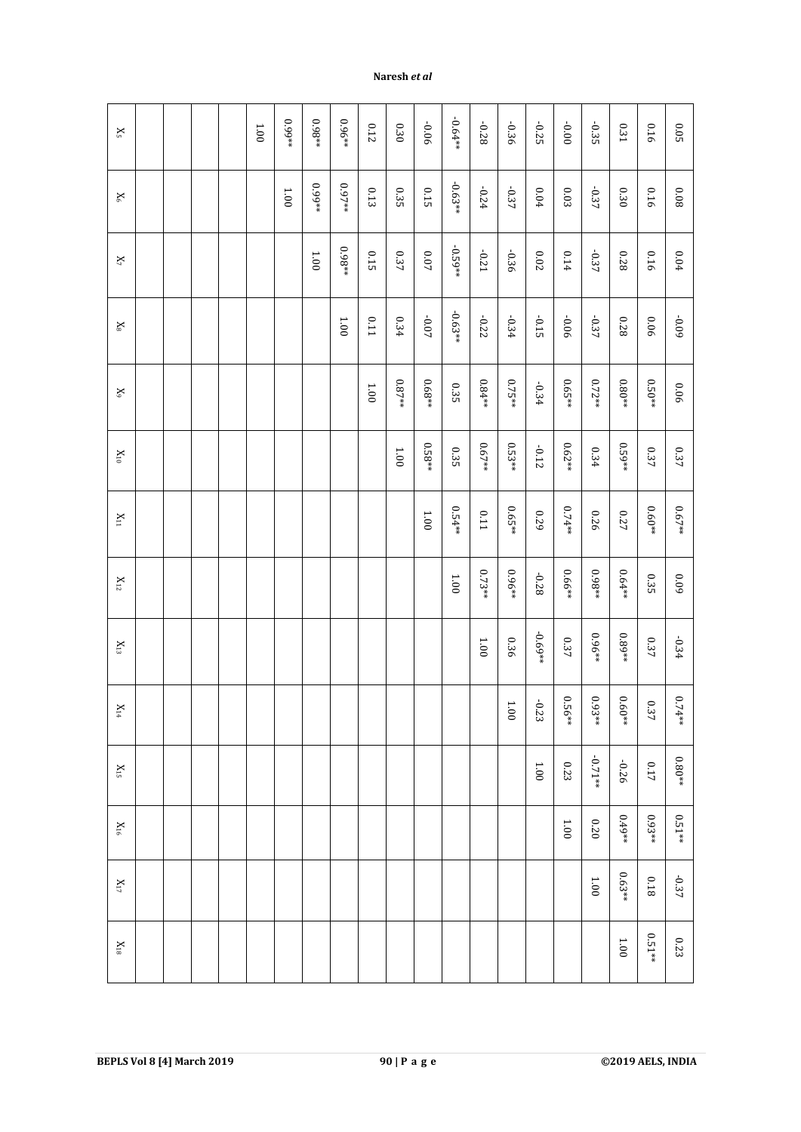| $\mathbf{X}_5$    |  |  | $1.00\,$ | **66.0   | $0.98**$ | $0.96**$ | $0.12\,$ | $0.30\,$          | -0.06    | $-0.64**$ | -0.28    | -0.36    | $-0.25$   | 0.000    | $-0.35$   | $0.31\,$          | 0.16          | $0.05\,$ |
|-------------------|--|--|----------|----------|----------|----------|----------|-------------------|----------|-----------|----------|----------|-----------|----------|-----------|-------------------|---------------|----------|
| $\mathbf{X}_6$    |  |  |          | $1.00\,$ | 0.99**   | $0.97**$ | $0.13\,$ | 0.35              | $0.15\,$ | $-0.63**$ | $-0.24$  | $-0.37$  | $0.04\,$  | $0.03\,$ | $-0.37$   | $0.30\,$          | 0.16          | $0.08\,$ |
| $\mathbf{X}_7$    |  |  |          |          | $1.00\,$ | $0.98**$ | 0.15     | $0.37\,$          | $0.07\,$ | $-0.59**$ | $-0.21$  | $-0.36$  | $0.02\,$  | 0.14     | $-0.37$   | 870               | 0.16          | $0.04\,$ |
| $\mathbf{x}_8$    |  |  |          |          |          | $1.00\,$ | $0.11\,$ | $0.34\,$          | $-0.07$  | $-0.63**$ | $-0.22$  | $-0.34$  | $-0.15$   | 90'0-    | $-0.37$   | $0.28\,$          | 90'0          | $60.09$  |
| $\mathbf{X}_9$    |  |  |          |          |          |          | $1.00\,$ | $0.87^{\ast\ast}$ | **89'    | 0.35      | $0.84**$ | $0.75**$ | $-0.34$   | $0.65**$ | $0.72**$  | $0.80^{\ast\ast}$ | $0.50**$      | 90'0     |
| $\rm X_{10}$      |  |  |          |          |          |          |          | 1.001             | $0.58**$ | 0.35      | $0.67**$ | $0.53**$ | $-0.12$   | $0.62**$ | 0.34      | $0.59**$          | $0.37\,$      | $0.37\,$ |
| $\mathbf{X}_{11}$ |  |  |          |          |          |          |          |                   | $1.00\,$ | $0.54**$  | $0.11\,$ | $0.65**$ | 0.29      | **47.0   | 0.26      | $0.27\,$          | $0.60**$      | $0.67**$ |
| $\mathbf{X}_{12}$ |  |  |          |          |          |          |          |                   |          | $1.00$    | $0.73**$ | ** 96.9  | $-0.28$   | 0.66**   | $0.98**$  | 0.64**            | $0.35\,$      | 60'0     |
| $\rm X_{13}$      |  |  |          |          |          |          |          |                   |          |           | $1.00\,$ | 0.36     | $-0.69**$ | $0.37\,$ | **96'0    | $0.89**$          | $0.37\,$      | $-0.34$  |
| $X_{14}$          |  |  |          |          |          |          |          |                   |          |           |          | $1.001$  | ò<br>233  | 0.56 **  | $0.93**$  | $0.60**$          | $\circ$<br>37 | $0.74**$ |
| $\rm X_{15}$      |  |  |          |          |          |          |          |                   |          |           |          |          | 1.001     | 0.23     | $-0.71**$ | $-0.26$           | 717           | $0.80**$ |
| $\rm X_{16}$      |  |  |          |          |          |          |          |                   |          |           |          |          |           | 1.00     | 020       | $0.49**$          | $0.93**$      | $0.51**$ |
| $\mathbf{X}_{17}$ |  |  |          |          |          |          |          |                   |          |           |          |          |           |          | $1.001$   | $0.63**$          | 0.18          | $-0.37$  |
| $\rm X_{18}$      |  |  |          |          |          |          |          |                   |          |           |          |          |           |          |           | $1.001\,$         | $0.51**$      | 0.23     |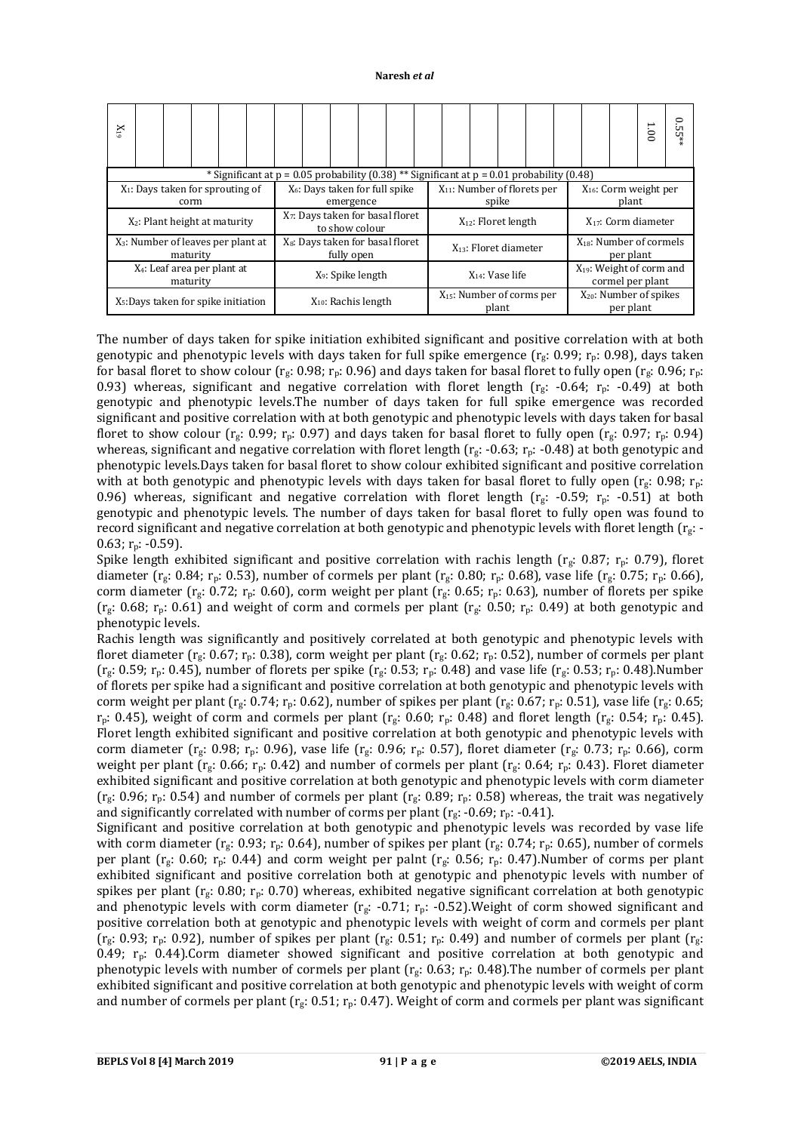| $X_{19}$                                         |                                                                                                |  |          |  |  |                                                                |                      |           |  |                                            |  |                                                   |                            |  |  |  |                                                 |                          | 1.00 | <u>়</u><br>UП<br>UП |  |
|--------------------------------------------------|------------------------------------------------------------------------------------------------|--|----------|--|--|----------------------------------------------------------------|----------------------|-----------|--|--------------------------------------------|--|---------------------------------------------------|----------------------------|--|--|--|-------------------------------------------------|--------------------------|------|----------------------|--|
|                                                  | * Significant at $p = 0.05$ probability (0.38) ** Significant at $p = 0.01$ probability (0.48) |  |          |  |  |                                                                |                      |           |  |                                            |  |                                                   |                            |  |  |  |                                                 |                          |      |                      |  |
|                                                  | $X_1$ : Days taken for sprouting of                                                            |  | corm     |  |  |                                                                |                      | emergence |  | X <sub>6</sub> : Days taken for full spike |  | $X_{11}$ : Number of florets per                  | spike                      |  |  |  | X <sub>16</sub> : Corm weight per<br>plant      |                          |      |                      |  |
|                                                  | $X_2$ : Plant height at maturity                                                               |  |          |  |  | X <sub>7</sub> : Days taken for basal floret<br>to show colour |                      |           |  |                                            |  |                                                   | $X_{12}$ : Floret length   |  |  |  |                                                 | $X_{17}$ : Corm diameter |      |                      |  |
|                                                  | $X_3$ : Number of leaves per plant at                                                          |  | maturity |  |  | X <sub>8</sub> : Days taken for basal floret<br>fully open     |                      |           |  |                                            |  |                                                   | $X_{13}$ : Floret diameter |  |  |  | $X_{18}$ : Number of cormels<br>per plant       |                          |      |                      |  |
| X <sub>4</sub> : Leaf area per plant at          | X <sub>9</sub> : Spike length                                                                  |  |          |  |  |                                                                | $X_{14}$ : Vase life |           |  |                                            |  | $X_{19}$ : Weight of corm and<br>cormel per plant |                            |  |  |  |                                                 |                          |      |                      |  |
| X <sub>5</sub> : Days taken for spike initiation |                                                                                                |  |          |  |  | $X_{10}$ : Rachis length                                       |                      |           |  |                                            |  | $X_{15}$ : Number of corms per<br>plant           |                            |  |  |  | X <sub>20</sub> : Number of spikes<br>per plant |                          |      |                      |  |

The number of days taken for spike initiation exhibited significant and positive correlation with at both genotypic and phenotypic levels with days taken for full spike emergence ( $r_g$ : 0.99;  $r_p$ : 0.98), days taken for basal floret to show colour ( $r_g$ : 0.98;  $r_p$ : 0.96) and days taken for basal floret to fully open ( $r_g$ : 0.96;  $r_p$ : 0.93) whereas, significant and negative correlation with floret length ( $r_g$ : -0.64;  $r_p$ : -0.49) at both genotypic and phenotypic levels.The number of days taken for full spike emergence was recorded significant and positive correlation with at both genotypic and phenotypic levels with days taken for basal floret to show colour (rg: 0.99; r<sub>p</sub>: 0.97) and days taken for basal floret to fully open (rg: 0.97; r<sub>p</sub>: 0.94) whereas, significant and negative correlation with floret length  $(r_g: -0.63; r_p: -0.48)$  at both genotypic and phenotypic levels.Days taken for basal floret to show colour exhibited significant and positive correlation with at both genotypic and phenotypic levels with days taken for basal floret to fully open ( $r_g$ : 0.98;  $r_p$ : 0.96) whereas, significant and negative correlation with floret length ( $r_g$ : -0.59;  $r_p$ : -0.51) at both genotypic and phenotypic levels. The number of days taken for basal floret to fully open was found to record significant and negative correlation at both genotypic and phenotypic levels with floret length  $(r_g: -)$  $0.63$ ; r<sub>p</sub>: -0.59).

Spike length exhibited significant and positive correlation with rachis length ( $r_g$ : 0.87;  $r_p$ : 0.79), floret diameter (rg: 0.84; r<sub>p</sub>: 0.53), number of cormels per plant (rg: 0.80; r<sub>p</sub>: 0.68), vase life (rg: 0.75; r<sub>p</sub>: 0.66), corm diameter ( $r_g$ : 0.72;  $r_p$ : 0.60), corm weight per plant ( $r_g$ : 0.65;  $r_p$ : 0.63), number of florets per spike  $(r_g: 0.68; r_p: 0.61)$  and weight of corm and cormels per plant  $(r_g: 0.50; r_p: 0.49)$  at both genotypic and phenotypic levels.

Rachis length was significantly and positively correlated at both genotypic and phenotypic levels with floret diameter ( $r_g$ : 0.67;  $r_p$ : 0.38), corm weight per plant ( $r_g$ : 0.62;  $r_p$ : 0.52), number of cormels per plant  $(r_g: 0.59; r_p: 0.45)$ , number of florets per spike  $(r_g: 0.53; r_p: 0.48)$  and vase life  $(r_g: 0.53; r_p: 0.48)$ . Number of florets per spike had a significant and positive correlation at both genotypic and phenotypic levels with corm weight per plant ( $r_g$ : 0.74;  $r_p$ : 0.62), number of spikes per plant ( $r_g$ : 0.67;  $r_p$ : 0.51), vase life ( $r_g$ : 0.65;  $r_p$ : 0.45), weight of corm and cormels per plant ( $r_g$ : 0.60;  $r_p$ : 0.48) and floret length ( $r_g$ : 0.54;  $r_p$ : 0.45). Floret length exhibited significant and positive correlation at both genotypic and phenotypic levels with corm diameter ( $r_g$ : 0.98;  $r_p$ : 0.96), vase life ( $r_g$ : 0.96;  $r_p$ : 0.57), floret diameter ( $r_g$ : 0.73;  $r_p$ : 0.66), corm weight per plant (r<sub>g</sub>: 0.66; r<sub>p</sub>: 0.42) and number of cormels per plant (r<sub>g</sub>: 0.64; r<sub>p</sub>: 0.43). Floret diameter exhibited significant and positive correlation at both genotypic and phenotypic levels with corm diameter ( $r_g$ : 0.96;  $r_p$ : 0.54) and number of cormels per plant ( $r_g$ : 0.89;  $r_p$ : 0.58) whereas, the trait was negatively and significantly correlated with number of corms per plant ( $r_g$ : -0.69;  $r_p$ : -0.41).

Significant and positive correlation at both genotypic and phenotypic levels was recorded by vase life with corm diameter ( $r_g$ : 0.93;  $r_p$ : 0.64), number of spikes per plant ( $r_g$ : 0.74;  $r_p$ : 0.65), number of cormels per plant ( $r_g$ : 0.60;  $r_p$ : 0.44) and corm weight per palnt ( $r_g$ : 0.56;  $r_p$ : 0.47).Number of corms per plant exhibited significant and positive correlation both at genotypic and phenotypic levels with number of spikes per plant ( $r_g$ : 0.80;  $r_p$ : 0.70) whereas, exhibited negative significant correlation at both genotypic and phenotypic levels with corm diameter  $(r_g: -0.71; r_p: -0.52)$ . Weight of corm showed significant and positive correlation both at genotypic and phenotypic levels with weight of corm and cormels per plant  $(r_g: 0.93; r_p: 0.92)$ , number of spikes per plant  $(r_g: 0.51; r_p: 0.49)$  and number of cormels per plant  $(r_g: 0.51; r_p: 0.49)$ 0.49;  $r_p$ : 0.44).Corm diameter showed significant and positive correlation at both genotypic and phenotypic levels with number of cormels per plant ( $r_g$ : 0.63;  $r_p$ : 0.48). The number of cormels per plant exhibited significant and positive correlation at both genotypic and phenotypic levels with weight of corm and number of cormels per plant ( $r_g$ : 0.51;  $r_p$ : 0.47). Weight of corm and cormels per plant was significant